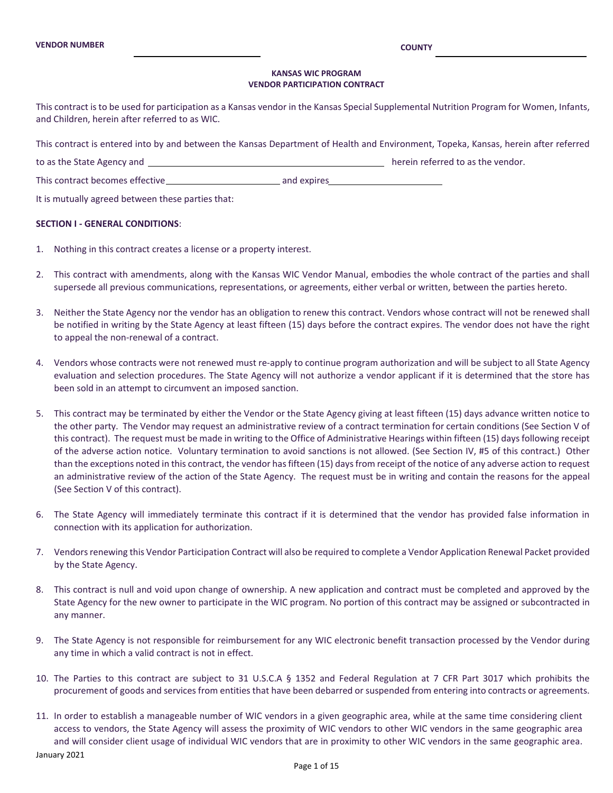#### **KANSAS WIC PROGRAM VENDOR PARTICIPATION CONTRACT**

This contract is to be used for participation as a Kansas vendor in the Kansas Special Supplemental Nutrition Program for Women, Infants, and Children, herein after referred to as WIC.

This contract is entered into by and between the Kansas Department of Health and Environment, Topeka, Kansas, herein after referred

to as the State Agency and herein referred to as the vendor.

This contract becomes effective and expires

It is mutually agreed between these parties that:

#### **SECTION I - GENERAL CONDITIONS**:

- 1. Nothing in this contract creates a license or a property interest.
- 2. This contract with amendments, along with the Kansas WIC Vendor Manual, embodies the whole contract of the parties and shall supersede all previous communications, representations, or agreements, either verbal or written, between the parties hereto.
- 3. Neither the State Agency nor the vendor has an obligation to renew this contract. Vendors whose contract will not be renewed shall be notified in writing by the State Agency at least fifteen (15) days before the contract expires. The vendor does not have the right to appeal the non-renewal of a contract.
- 4. Vendors whose contracts were not renewed must re-apply to continue program authorization and will be subject to all State Agency evaluation and selection procedures. The State Agency will not authorize a vendor applicant if it is determined that the store has been sold in an attempt to circumvent an imposed sanction.
- 5. This contract may be terminated by either the Vendor or the State Agency giving at least fifteen (15) days advance written notice to the other party. The Vendor may request an administrative review of a contract termination for certain conditions (See Section V of this contract). The request must be made in writing to the Office of Administrative Hearings within fifteen (15) days following receipt of the adverse action notice. Voluntary termination to avoid sanctions is not allowed. (See Section IV, #5 of this contract.) Other than the exceptions noted in this contract, the vendor has fifteen (15) days from receipt of the notice of any adverse action to request an administrative review of the action of the State Agency. The request must be in writing and contain the reasons for the appeal (See Section V of this contract).
- 6. The State Agency will immediately terminate this contract if it is determined that the vendor has provided false information in connection with its application for authorization.
- 7. Vendors renewing this Vendor Participation Contract will also be required to complete a Vendor Application Renewal Packet provided by the State Agency.
- 8. This contract is null and void upon change of ownership. A new application and contract must be completed and approved by the State Agency for the new owner to participate in the WIC program. No portion of this contract may be assigned or subcontracted in any manner.
- 9. The State Agency is not responsible for reimbursement for any WIC electronic benefit transaction processed by the Vendor during any time in which a valid contract is not in effect.
- 10. The Parties to this contract are subject to 31 U.S.C.A § 1352 and Federal Regulation at 7 CFR Part 3017 which prohibits the procurement of goods and services from entities that have been debarred or suspended from entering into contracts or agreements.
- January 2021 11. In order to establish a manageable number of WIC vendors in a given geographic area, while at the same time considering client access to vendors, the State Agency will assess the proximity of WIC vendors to other WIC vendors in the same geographic area and will consider client usage of individual WIC vendors that are in proximity to other WIC vendors in the same geographic area.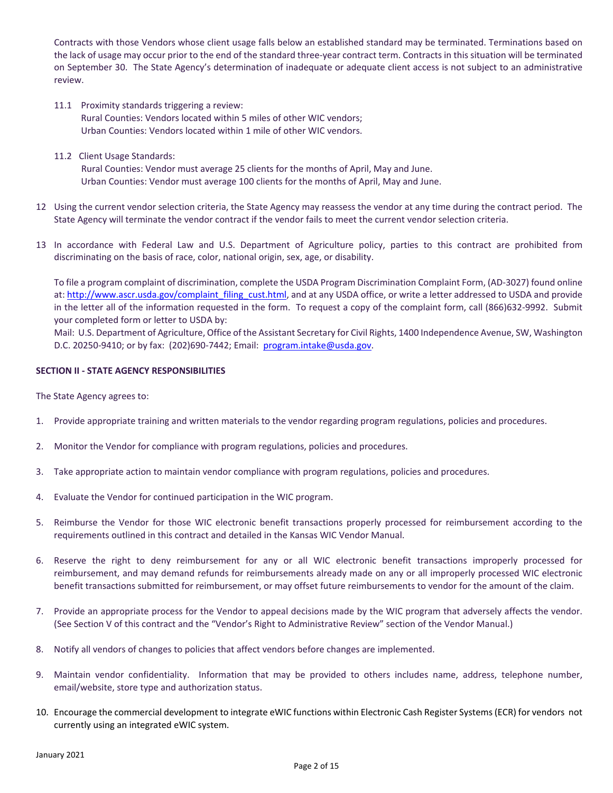Contracts with those Vendors whose client usage falls below an established standard may be terminated. Terminations based on the lack of usage may occur prior to the end of the standard three-year contract term. Contracts in this situation will be terminated on September 30. The State Agency's determination of inadequate or adequate client access is not subject to an administrative review.

- 11.1 Proximity standards triggering a review: Rural Counties: Vendors located within 5 miles of other WIC vendors; Urban Counties: Vendors located within 1 mile of other WIC vendors.
- 11.2 Client Usage Standards:

 Rural Counties: Vendor must average 25 clients for the months of April, May and June. Urban Counties: Vendor must average 100 clients for the months of April, May and June.

- 12 Using the current vendor selection criteria, the State Agency may reassess the vendor at any time during the contract period. The State Agency will terminate the vendor contract if the vendor fails to meet the current vendor selection criteria.
- 13 In accordance with Federal Law and U.S. Department of Agriculture policy, parties to this contract are prohibited from discriminating on the basis of race, color, national origin, sex, age, or disability.

To file a program complaint of discrimination, complete the USDA Program Discrimination Complaint Form, (AD-3027) found online at: [http://www.ascr.usda.gov/complaint\\_filing\\_cust.html,](http://www.ascr.usda.gov/complaint_filing_cust.html) and at any USDA office, or write a letter addressed to USDA and provide in the letter all of the information requested in the form. To request a copy of the complaint form, call (866)632-9992. Submit your completed form or letter to USDA by:

Mail: U.S. Department of Agriculture, Office of the Assistant Secretary for Civil Rights, 1400 Independence Avenue, SW, Washington D.C. 20250-9410; or by fax: (202)690-7442; Email: [program.intake@usda.gov.](mailto:program.intake@usda.gov)

### **SECTION II - STATE AGENCY RESPONSIBILITIES**

The State Agency agrees to:

- 1. Provide appropriate training and written materials to the vendor regarding program regulations, policies and procedures.
- 2. Monitor the Vendor for compliance with program regulations, policies and procedures.
- 3. Take appropriate action to maintain vendor compliance with program regulations, policies and procedures.
- 4. Evaluate the Vendor for continued participation in the WIC program.
- 5. Reimburse the Vendor for those WIC electronic benefit transactions properly processed for reimbursement according to the requirements outlined in this contract and detailed in the Kansas WIC Vendor Manual.
- 6. Reserve the right to deny reimbursement for any or all WIC electronic benefit transactions improperly processed for reimbursement, and may demand refunds for reimbursements already made on any or all improperly processed WIC electronic benefit transactions submitted for reimbursement, or may offset future reimbursements to vendor for the amount of the claim.
- 7. Provide an appropriate process for the Vendor to appeal decisions made by the WIC program that adversely affects the vendor. (See Section V of this contract and the "Vendor's Right to Administrative Review" section of the Vendor Manual.)
- 8. Notify all vendors of changes to policies that affect vendors before changes are implemented.
- 9. Maintain vendor confidentiality. Information that may be provided to others includes name, address, telephone number, email/website, store type and authorization status.
- 10. Encourage the commercial development to integrate eWIC functions within Electronic Cash Register Systems (ECR) for vendors not currently using an integrated eWIC system.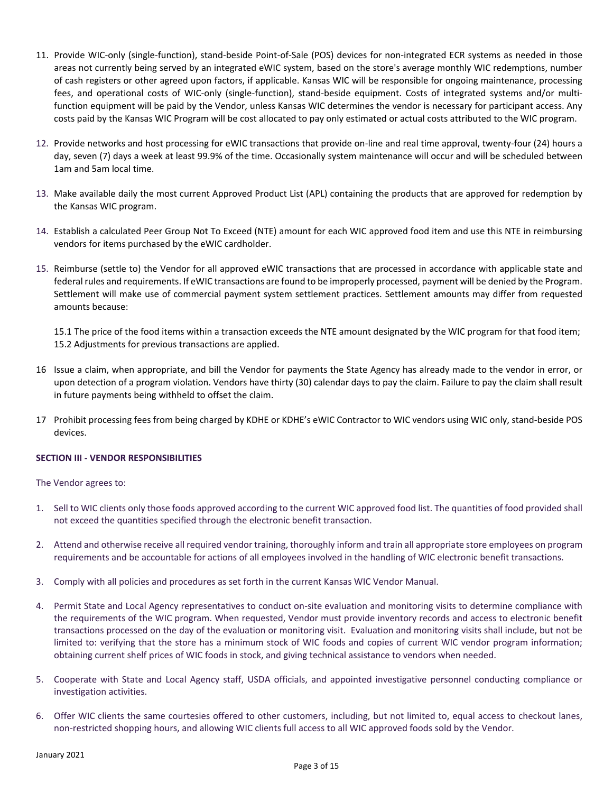- 11. Provide WIC-only (single-function), stand-beside Point-of-Sale (POS) devices for non-integrated ECR systems as needed in those areas not currently being served by an integrated eWIC system, based on the store's average monthly WIC redemptions, number of cash registers or other agreed upon factors, if applicable. Kansas WIC will be responsible for ongoing maintenance, processing fees, and operational costs of WIC-only (single-function), stand-beside equipment. Costs of integrated systems and/or multifunction equipment will be paid by the Vendor, unless Kansas WIC determines the vendor is necessary for participant access. Any costs paid by the Kansas WIC Program will be cost allocated to pay only estimated or actual costs attributed to the WIC program.
- 12. Provide networks and host processing for eWIC transactions that provide on-line and real time approval, twenty-four (24) hours a day, seven (7) days a week at least 99.9% of the time. Occasionally system maintenance will occur and will be scheduled between 1am and 5am local time.
- 13. Make available daily the most current Approved Product List (APL) containing the products that are approved for redemption by the Kansas WIC program.
- 14. Establish a calculated Peer Group Not To Exceed (NTE) amount for each WIC approved food item and use this NTE in reimbursing vendors for items purchased by the eWIC cardholder.
- 15. Reimburse (settle to) the Vendor for all approved eWIC transactions that are processed in accordance with applicable state and federal rules and requirements. If eWIC transactions are found to be improperly processed, payment will be denied by the Program. Settlement will make use of commercial payment system settlement practices. Settlement amounts may differ from requested amounts because:

15.1 The price of the food items within a transaction exceeds the NTE amount designated by the WIC program for that food item; 15.2 Adjustments for previous transactions are applied.

- 16 Issue a claim, when appropriate, and bill the Vendor for payments the State Agency has already made to the vendor in error, or upon detection of a program violation. Vendors have thirty (30) calendar days to pay the claim. Failure to pay the claim shall result in future payments being withheld to offset the claim.
- 17 Prohibit processing fees from being charged by KDHE or KDHE's eWIC Contractor to WIC vendors using WIC only, stand-beside POS devices.

# **SECTION III - VENDOR RESPONSIBILITIES**

The Vendor agrees to:

- 1. Sell to WIC clients only those foods approved according to the current WIC approved food list. The quantities of food provided shall not exceed the quantities specified through the electronic benefit transaction.
- 2. Attend and otherwise receive all required vendor training, thoroughly inform and train all appropriate store employees on program requirements and be accountable for actions of all employees involved in the handling of WIC electronic benefit transactions.
- 3. Comply with all policies and procedures as set forth in the current Kansas WIC Vendor Manual.
- 4. Permit State and Local Agency representatives to conduct on-site evaluation and monitoring visits to determine compliance with the requirements of the WIC program. When requested, Vendor must provide inventory records and access to electronic benefit transactions processed on the day of the evaluation or monitoring visit. Evaluation and monitoring visits shall include, but not be limited to: verifying that the store has a minimum stock of WIC foods and copies of current WIC vendor program information; obtaining current shelf prices of WIC foods in stock, and giving technical assistance to vendors when needed.
- 5. Cooperate with State and Local Agency staff, USDA officials, and appointed investigative personnel conducting compliance or investigation activities.
- 6. Offer WIC clients the same courtesies offered to other customers, including, but not limited to, equal access to checkout lanes, non-restricted shopping hours, and allowing WIC clients full access to all WIC approved foods sold by the Vendor.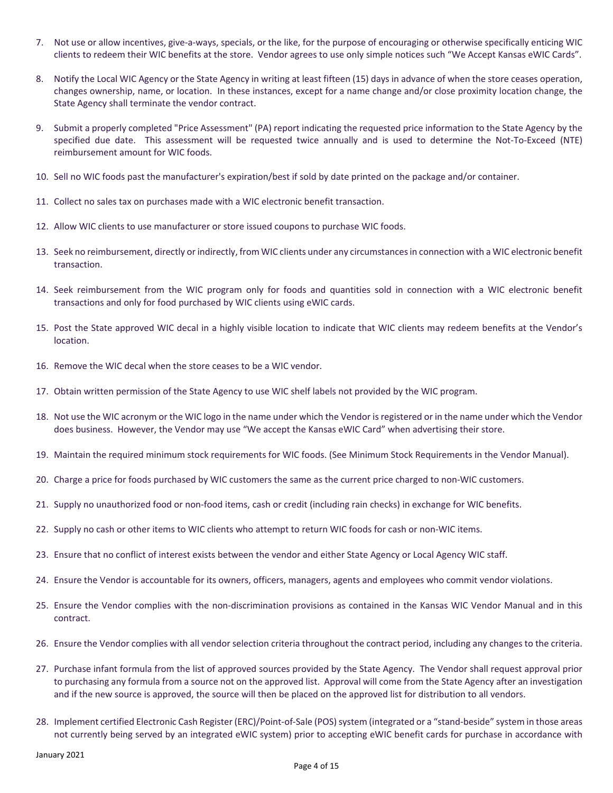- 7. Not use or allow incentives, give-a-ways, specials, or the like, for the purpose of encouraging or otherwise specifically enticing WIC clients to redeem their WIC benefits at the store. Vendor agrees to use only simple notices such "We Accept Kansas eWIC Cards".
- 8. Notify the Local WIC Agency or the State Agency in writing at least fifteen (15) days in advance of when the store ceases operation, changes ownership, name, or location. In these instances, except for a name change and/or close proximity location change, the State Agency shall terminate the vendor contract.
- 9. Submit a properly completed "Price Assessment" (PA) report indicating the requested price information to the State Agency by the specified due date. This assessment will be requested twice annually and is used to determine the Not-To-Exceed (NTE) reimbursement amount for WIC foods.
- 10. Sell no WIC foods past the manufacturer's expiration/best if sold by date printed on the package and/or container.
- 11. Collect no sales tax on purchases made with a WIC electronic benefit transaction.
- 12. Allow WIC clients to use manufacturer or store issued coupons to purchase WIC foods.
- 13. Seek no reimbursement, directly or indirectly, from WIC clients under any circumstances in connection with a WIC electronic benefit transaction.
- 14. Seek reimbursement from the WIC program only for foods and quantities sold in connection with a WIC electronic benefit transactions and only for food purchased by WIC clients using eWIC cards.
- 15. Post the State approved WIC decal in a highly visible location to indicate that WIC clients may redeem benefits at the Vendor's location.
- 16. Remove the WIC decal when the store ceases to be a WIC vendor.
- 17. Obtain written permission of the State Agency to use WIC shelf labels not provided by the WIC program.
- 18. Not use the WIC acronym or the WIC logo in the name under which the Vendor is registered or in the name under which the Vendor does business. However, the Vendor may use "We accept the Kansas eWIC Card" when advertising their store.
- 19. Maintain the required minimum stock requirements for WIC foods. (See Minimum Stock Requirements in the Vendor Manual).
- 20. Charge a price for foods purchased by WIC customers the same as the current price charged to non-WIC customers.
- 21. Supply no unauthorized food or non-food items, cash or credit (including rain checks) in exchange for WIC benefits.
- 22. Supply no cash or other items to WIC clients who attempt to return WIC foods for cash or non-WIC items.
- 23. Ensure that no conflict of interest exists between the vendor and either State Agency or Local Agency WIC staff.
- 24. Ensure the Vendor is accountable for its owners, officers, managers, agents and employees who commit vendor violations.
- 25. Ensure the Vendor complies with the non-discrimination provisions as contained in the Kansas WIC Vendor Manual and in this contract.
- 26. Ensure the Vendor complies with all vendor selection criteria throughout the contract period, including any changes to the criteria.
- 27. Purchase infant formula from the list of approved sources provided by the State Agency. The Vendor shall request approval prior to purchasing any formula from a source not on the approved list. Approval will come from the State Agency after an investigation and if the new source is approved, the source will then be placed on the approved list for distribution to all vendors.
- 28. Implement certified Electronic Cash Register (ERC)/Point-of-Sale (POS) system (integrated or a "stand-beside" system in those areas not currently being served by an integrated eWIC system) prior to accepting eWIC benefit cards for purchase in accordance with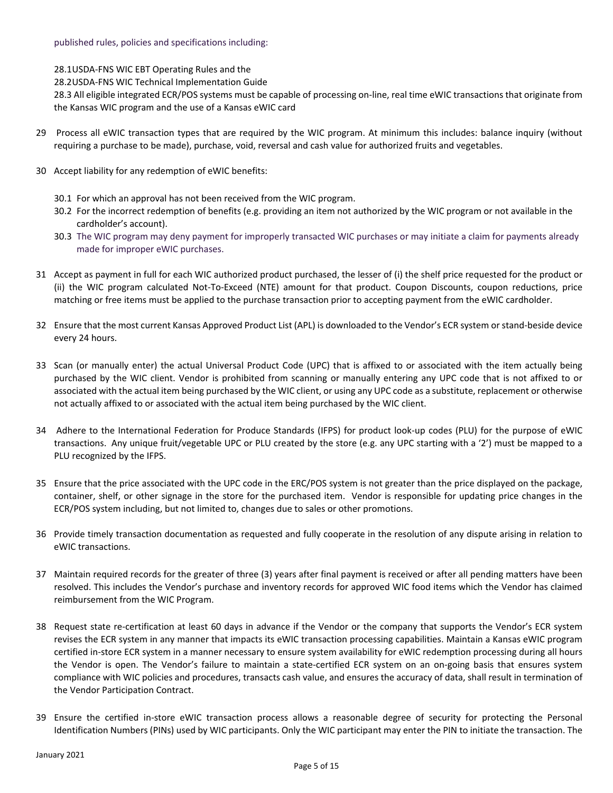28.1USDA-FNS WIC EBT Operating Rules and the

28.2USDA-FNS WIC Technical Implementation Guide

28.3 All eligible integrated ECR/POS systems must be capable of processing on-line, real time eWIC transactions that originate from the Kansas WIC program and the use of a Kansas eWIC card

- 29 Process all eWIC transaction types that are required by the WIC program. At minimum this includes: balance inquiry (without requiring a purchase to be made), purchase, void, reversal and cash value for authorized fruits and vegetables.
- 30 Accept liability for any redemption of eWIC benefits:
	- 30.1 For which an approval has not been received from the WIC program.
	- 30.2 For the incorrect redemption of benefits (e.g. providing an item not authorized by the WIC program or not available in the cardholder's account).
	- 30.3 The WIC program may deny payment for improperly transacted WIC purchases or may initiate a claim for payments already made for improper eWIC purchases.
- 31 Accept as payment in full for each WIC authorized product purchased, the lesser of (i) the shelf price requested for the product or (ii) the WIC program calculated Not-To-Exceed (NTE) amount for that product. Coupon Discounts, coupon reductions, price matching or free items must be applied to the purchase transaction prior to accepting payment from the eWIC cardholder.
- 32 Ensure that the most current Kansas Approved Product List (APL) is downloaded to the Vendor's ECR system or stand-beside device every 24 hours.
- 33 Scan (or manually enter) the actual Universal Product Code (UPC) that is affixed to or associated with the item actually being purchased by the WIC client. Vendor is prohibited from scanning or manually entering any UPC code that is not affixed to or associated with the actual item being purchased by the WIC client, or using any UPC code as a substitute, replacement or otherwise not actually affixed to or associated with the actual item being purchased by the WIC client.
- 34 Adhere to the International Federation for Produce Standards (IFPS) for product look-up codes (PLU) for the purpose of eWIC transactions. Any unique fruit/vegetable UPC or PLU created by the store (e.g. any UPC starting with a '2') must be mapped to a PLU recognized by the IFPS.
- 35 Ensure that the price associated with the UPC code in the ERC/POS system is not greater than the price displayed on the package, container, shelf, or other signage in the store for the purchased item. Vendor is responsible for updating price changes in the ECR/POS system including, but not limited to, changes due to sales or other promotions.
- 36 Provide timely transaction documentation as requested and fully cooperate in the resolution of any dispute arising in relation to eWIC transactions.
- 37 Maintain required records for the greater of three (3) years after final payment is received or after all pending matters have been resolved. This includes the Vendor's purchase and inventory records for approved WIC food items which the Vendor has claimed reimbursement from the WIC Program.
- 38 Request state re-certification at least 60 days in advance if the Vendor or the company that supports the Vendor's ECR system revises the ECR system in any manner that impacts its eWIC transaction processing capabilities. Maintain a Kansas eWIC program certified in-store ECR system in a manner necessary to ensure system availability for eWIC redemption processing during all hours the Vendor is open. The Vendor's failure to maintain a state-certified ECR system on an on-going basis that ensures system compliance with WIC policies and procedures, transacts cash value, and ensures the accuracy of data, shall result in termination of the Vendor Participation Contract.
- 39 Ensure the certified in-store eWIC transaction process allows a reasonable degree of security for protecting the Personal Identification Numbers (PINs) used by WIC participants. Only the WIC participant may enter the PIN to initiate the transaction. The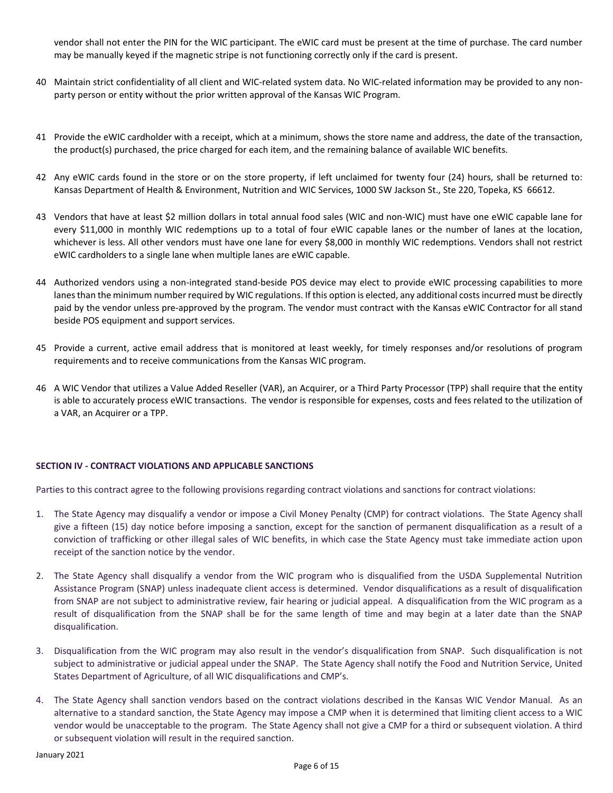vendor shall not enter the PIN for the WIC participant. The eWIC card must be present at the time of purchase. The card number may be manually keyed if the magnetic stripe is not functioning correctly only if the card is present.

- 40 Maintain strict confidentiality of all client and WIC-related system data. No WIC-related information may be provided to any nonparty person or entity without the prior written approval of the Kansas WIC Program.
- 41 Provide the eWIC cardholder with a receipt, which at a minimum, shows the store name and address, the date of the transaction, the product(s) purchased, the price charged for each item, and the remaining balance of available WIC benefits.
- 42 Any eWIC cards found in the store or on the store property, if left unclaimed for twenty four (24) hours, shall be returned to: Kansas Department of Health & Environment, Nutrition and WIC Services, 1000 SW Jackson St., Ste 220, Topeka, KS 66612.
- 43 Vendors that have at least \$2 million dollars in total annual food sales (WIC and non-WIC) must have one eWIC capable lane for every \$11,000 in monthly WIC redemptions up to a total of four eWIC capable lanes or the number of lanes at the location, whichever is less. All other vendors must have one lane for every \$8,000 in monthly WIC redemptions. Vendors shall not restrict eWIC cardholders to a single lane when multiple lanes are eWIC capable.
- 44 Authorized vendors using a non-integrated stand-beside POS device may elect to provide eWIC processing capabilities to more lanes than the minimum number required by WIC regulations. If this option is elected, any additional costs incurred must be directly paid by the vendor unless pre-approved by the program. The vendor must contract with the Kansas eWIC Contractor for all stand beside POS equipment and support services.
- 45 Provide a current, active email address that is monitored at least weekly, for timely responses and/or resolutions of program requirements and to receive communications from the Kansas WIC program.
- 46 A WIC Vendor that utilizes a Value Added Reseller (VAR), an Acquirer, or a Third Party Processor (TPP) shall require that the entity is able to accurately process eWIC transactions. The vendor is responsible for expenses, costs and fees related to the utilization of a VAR, an Acquirer or a TPP.

# **SECTION IV - CONTRACT VIOLATIONS AND APPLICABLE SANCTIONS**

Parties to this contract agree to the following provisions regarding contract violations and sanctions for contract violations:

- 1. The State Agency may disqualify a vendor or impose a Civil Money Penalty (CMP) for contract violations. The State Agency shall give a fifteen (15) day notice before imposing a sanction, except for the sanction of permanent disqualification as a result of a conviction of trafficking or other illegal sales of WIC benefits, in which case the State Agency must take immediate action upon receipt of the sanction notice by the vendor.
- 2. The State Agency shall disqualify a vendor from the WIC program who is disqualified from the USDA Supplemental Nutrition Assistance Program (SNAP) unless inadequate client access is determined. Vendor disqualifications as a result of disqualification from SNAP are not subject to administrative review, fair hearing or judicial appeal. A disqualification from the WIC program as a result of disqualification from the SNAP shall be for the same length of time and may begin at a later date than the SNAP disqualification.
- 3. Disqualification from the WIC program may also result in the vendor's disqualification from SNAP. Such disqualification is not subject to administrative or judicial appeal under the SNAP. The State Agency shall notify the Food and Nutrition Service, United States Department of Agriculture, of all WIC disqualifications and CMP's.
- 4. The State Agency shall sanction vendors based on the contract violations described in the Kansas WIC Vendor Manual. As an alternative to a standard sanction, the State Agency may impose a CMP when it is determined that limiting client access to a WIC vendor would be unacceptable to the program. The State Agency shall not give a CMP for a third or subsequent violation. A third or subsequent violation will result in the required sanction.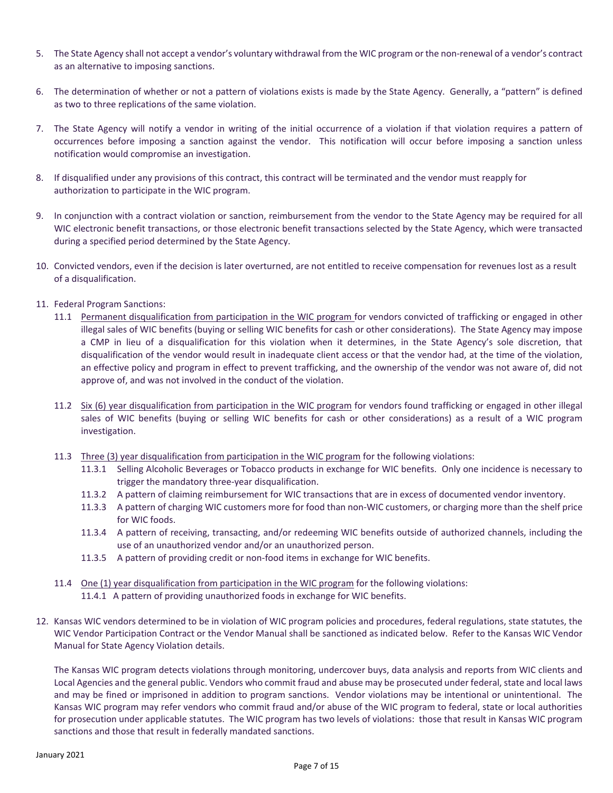- 5. The State Agency shall not accept a vendor's voluntary withdrawal from the WIC program or the non-renewal of a vendor's contract as an alternative to imposing sanctions.
- 6. The determination of whether or not a pattern of violations exists is made by the State Agency. Generally, a "pattern" is defined as two to three replications of the same violation.
- 7. The State Agency will notify a vendor in writing of the initial occurrence of a violation if that violation requires a pattern of occurrences before imposing a sanction against the vendor. This notification will occur before imposing a sanction unless notification would compromise an investigation.
- 8. If disqualified under any provisions of this contract, this contract will be terminated and the vendor must reapply for authorization to participate in the WIC program.
- 9. In conjunction with a contract violation or sanction, reimbursement from the vendor to the State Agency may be required for all WIC electronic benefit transactions, or those electronic benefit transactions selected by the State Agency, which were transacted during a specified period determined by the State Agency.
- 10. Convicted vendors, even if the decision is later overturned, are not entitled to receive compensation for revenues lost as a result of a disqualification.
- 11. Federal Program Sanctions:
	- 11.1 Permanent disqualification from participation in the WIC program for vendors convicted of trafficking or engaged in other illegal sales of WIC benefits (buying or selling WIC benefits for cash or other considerations). The State Agency may impose a CMP in lieu of a disqualification for this violation when it determines, in the State Agency's sole discretion, that disqualification of the vendor would result in inadequate client access or that the vendor had, at the time of the violation, an effective policy and program in effect to prevent trafficking, and the ownership of the vendor was not aware of, did not approve of, and was not involved in the conduct of the violation.
	- 11.2 Six (6) year disqualification from participation in the WIC program for vendors found trafficking or engaged in other illegal sales of WIC benefits (buying or selling WIC benefits for cash or other considerations) as a result of a WIC program investigation.
	- 11.3 Three (3) year disqualification from participation in the WIC program for the following violations:
		- 11.3.1 Selling Alcoholic Beverages or Tobacco products in exchange for WIC benefits. Only one incidence is necessary to trigger the mandatory three-year disqualification.
		- 11.3.2 A pattern of claiming reimbursement for WIC transactions that are in excess of documented vendor inventory.
		- 11.3.3 A pattern of charging WIC customers more for food than non-WIC customers, or charging more than the shelf price for WIC foods.
		- 11.3.4 A pattern of receiving, transacting, and/or redeeming WIC benefits outside of authorized channels, including the use of an unauthorized vendor and/or an unauthorized person.
		- 11.3.5 A pattern of providing credit or non-food items in exchange for WIC benefits.
	- 11.4 One (1) year disqualification from participation in the WIC program for the following violations: 11.4.1 A pattern of providing unauthorized foods in exchange for WIC benefits.
- 12. Kansas WIC vendors determined to be in violation of WIC program policies and procedures, federal regulations, state statutes, the WIC Vendor Participation Contract or the Vendor Manual shall be sanctioned as indicated below. Refer to the Kansas WIC Vendor Manual for State Agency Violation details.

The Kansas WIC program detects violations through monitoring, undercover buys, data analysis and reports from WIC clients and Local Agencies and the general public. Vendors who commit fraud and abuse may be prosecuted under federal, state and local laws and may be fined or imprisoned in addition to program sanctions. Vendor violations may be intentional or unintentional. The Kansas WIC program may refer vendors who commit fraud and/or abuse of the WIC program to federal, state or local authorities for prosecution under applicable statutes. The WIC program has two levels of violations: those that result in Kansas WIC program sanctions and those that result in federally mandated sanctions.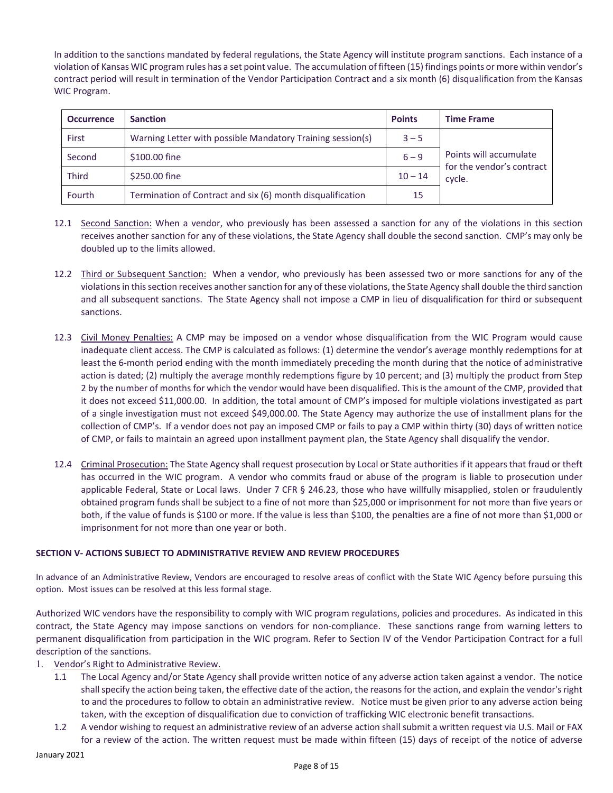In addition to the sanctions mandated by federal regulations, the State Agency will institute program sanctions. Each instance of a violation of Kansas WIC program rules has a set point value. The accumulation of fifteen (15) findings points or more within vendor's contract period will result in termination of the Vendor Participation Contract and a six month (6) disqualification from the Kansas WIC Program.

| <b>Occurrence</b> | <b>Sanction</b>                                            | <b>Points</b> | <b>Time Frame</b>                                             |  |
|-------------------|------------------------------------------------------------|---------------|---------------------------------------------------------------|--|
| First             | Warning Letter with possible Mandatory Training session(s) | $3 - 5$       |                                                               |  |
| Second            | \$100.00 fine                                              | $6 - 9$       | Points will accumulate<br>for the vendor's contract<br>cycle. |  |
| <b>Third</b>      | \$250.00 fine                                              | $10 - 14$     |                                                               |  |
| Fourth            | Termination of Contract and six (6) month disqualification | 15            |                                                               |  |

- 12.1 Second Sanction: When a vendor, who previously has been assessed a sanction for any of the violations in this section receives another sanction for any of these violations, the State Agency shall double the second sanction. CMP's may only be doubled up to the limits allowed.
- 12.2 Third or Subsequent Sanction: When a vendor, who previously has been assessed two or more sanctions for any of the violations in this section receives another sanction for any of these violations, the State Agency shall double the third sanction and all subsequent sanctions. The State Agency shall not impose a CMP in lieu of disqualification for third or subsequent sanctions.
- 12.3 Civil Money Penalties: A CMP may be imposed on a vendor whose disqualification from the WIC Program would cause inadequate client access. The CMP is calculated as follows: (1) determine the vendor's average monthly redemptions for at least the 6-month period ending with the month immediately preceding the month during that the notice of administrative action is dated; (2) multiply the average monthly redemptions figure by 10 percent; and (3) multiply the product from Step 2 by the number of months for which the vendor would have been disqualified. This is the amount of the CMP, provided that it does not exceed \$11,000.00. In addition, the total amount of CMP's imposed for multiple violations investigated as part of a single investigation must not exceed \$49,000.00. The State Agency may authorize the use of installment plans for the collection of CMP's. If a vendor does not pay an imposed CMP or fails to pay a CMP within thirty (30) days of written notice of CMP, or fails to maintain an agreed upon installment payment plan, the State Agency shall disqualify the vendor.
- 12.4 Criminal Prosecution: The State Agency shall request prosecution by Local or State authorities if it appears that fraud or theft has occurred in the WIC program. A vendor who commits fraud or abuse of the program is liable to prosecution under applicable Federal, State or Local laws. Under 7 CFR § 246.23, those who have willfully misapplied, stolen or fraudulently obtained program funds shall be subject to a fine of not more than \$25,000 or imprisonment for not more than five years or both, if the value of funds is \$100 or more. If the value is less than \$100, the penalties are a fine of not more than \$1,000 or imprisonment for not more than one year or both.

# **SECTION V- ACTIONS SUBJECT TO ADMINISTRATIVE REVIEW AND REVIEW PROCEDURES**

In advance of an Administrative Review, Vendors are encouraged to resolve areas of conflict with the State WIC Agency before pursuing this option. Most issues can be resolved at this less formal stage.

Authorized WIC vendors have the responsibility to comply with WIC program regulations, policies and procedures. As indicated in this contract, the State Agency may impose sanctions on vendors for non-compliance. These sanctions range from warning letters to permanent disqualification from participation in the WIC program. Refer to Section IV of the Vendor Participation Contract for a full description of the sanctions.

- 1. Vendor's Right to Administrative Review.
	- 1.1 The Local Agency and/or State Agency shall provide written notice of any adverse action taken against a vendor. The notice shall specify the action being taken, the effective date of the action, the reasons for the action, and explain the vendor's right to and the procedures to follow to obtain an administrative review. Notice must be given prior to any adverse action being taken, with the exception of disqualification due to conviction of trafficking WIC electronic benefit transactions.
	- 1.2 A vendor wishing to request an administrative review of an adverse action shall submit a written request via U.S. Mail or FAX for a review of the action. The written request must be made within fifteen (15) days of receipt of the notice of adverse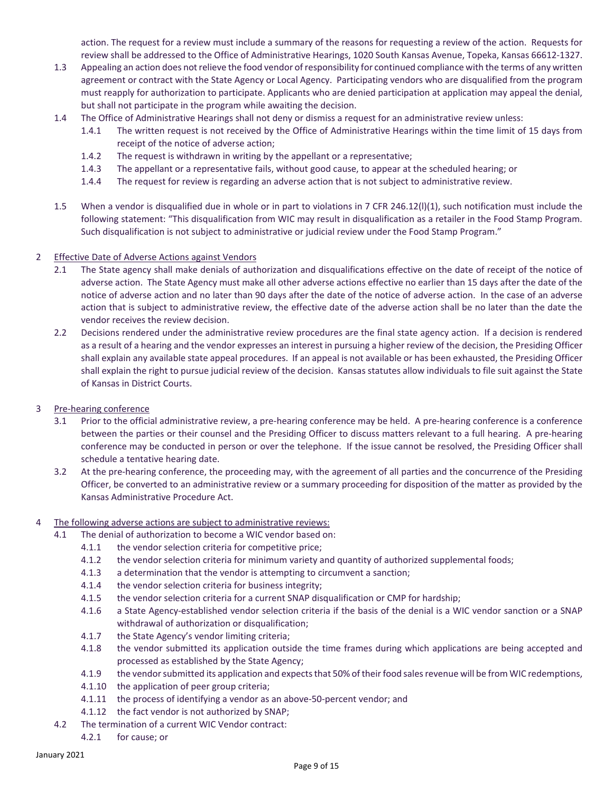action. The request for a review must include a summary of the reasons for requesting a review of the action. Requests for review shall be addressed to the Office of Administrative Hearings, 1020 South Kansas Avenue, Topeka, Kansas 66612-1327.

- 1.3 Appealing an action does not relieve the food vendor of responsibility for continued compliance with the terms of any written agreement or contract with the State Agency or Local Agency. Participating vendors who are disqualified from the program must reapply for authorization to participate. Applicants who are denied participation at application may appeal the denial, but shall not participate in the program while awaiting the decision.
- 1.4 The Office of Administrative Hearings shall not deny or dismiss a request for an administrative review unless:
	- 1.4.1 The written request is not received by the Office of Administrative Hearings within the time limit of 15 days from receipt of the notice of adverse action;
	- 1.4.2 The request is withdrawn in writing by the appellant or a representative;
	- 1.4.3 The appellant or a representative fails, without good cause, to appear at the scheduled hearing; or
	- 1.4.4 The request for review is regarding an adverse action that is not subject to administrative review.
- 1.5 When a vendor is disqualified due in whole or in part to violations in 7 CFR 246.12(l)(1), such notification must include the following statement: "This disqualification from WIC may result in disqualification as a retailer in the Food Stamp Program. Such disqualification is not subject to administrative or judicial review under the Food Stamp Program."
- 2 Effective Date of Adverse Actions against Vendors
	- 2.1 The State agency shall make denials of authorization and disqualifications effective on the date of receipt of the notice of adverse action. The State Agency must make all other adverse actions effective no earlier than 15 days after the date of the notice of adverse action and no later than 90 days after the date of the notice of adverse action. In the case of an adverse action that is subject to administrative review, the effective date of the adverse action shall be no later than the date the vendor receives the review decision.
	- 2.2 Decisions rendered under the administrative review procedures are the final state agency action. If a decision is rendered as a result of a hearing and the vendor expresses an interest in pursuing a higher review of the decision, the Presiding Officer shall explain any available state appeal procedures. If an appeal is not available or has been exhausted, the Presiding Officer shall explain the right to pursue judicial review of the decision. Kansas statutes allow individuals to file suit against the State of Kansas in District Courts.
- 3 Pre-hearing conference
	- 3.1 Prior to the official administrative review, a pre-hearing conference may be held. A pre-hearing conference is a conference between the parties or their counsel and the Presiding Officer to discuss matters relevant to a full hearing. A pre-hearing conference may be conducted in person or over the telephone. If the issue cannot be resolved, the Presiding Officer shall schedule a tentative hearing date.
	- 3.2 At the pre-hearing conference, the proceeding may, with the agreement of all parties and the concurrence of the Presiding Officer, be converted to an administrative review or a summary proceeding for disposition of the matter as provided by the Kansas Administrative Procedure Act.
- 4 The following adverse actions are subject to administrative reviews:
	- 4.1 The denial of authorization to become a WIC vendor based on:
		- 4.1.1 the vendor selection criteria for competitive price;
		- 4.1.2 the vendor selection criteria for minimum variety and quantity of authorized supplemental foods;
		- 4.1.3 a determination that the vendor is attempting to circumvent a sanction;
		- 4.1.4 the vendor selection criteria for business integrity;
		- 4.1.5 the vendor selection criteria for a current SNAP disqualification or CMP for hardship;
		- 4.1.6 a State Agency-established vendor selection criteria if the basis of the denial is a WIC vendor sanction or a SNAP withdrawal of authorization or disqualification;
		- 4.1.7 the State Agency's vendor limiting criteria;
		- 4.1.8 the vendor submitted its application outside the time frames during which applications are being accepted and processed as established by the State Agency;
		- 4.1.9 the vendor submitted its application and expects that 50% of their food sales revenue will be from WIC redemptions,
		- 4.1.10 the application of peer group criteria;
		- 4.1.11 the process of identifying a vendor as an above-50-percent vendor; and
		- 4.1.12 the fact vendor is not authorized by SNAP;
	- 4.2 The termination of a current WIC Vendor contract:
		- 4.2.1 for cause; or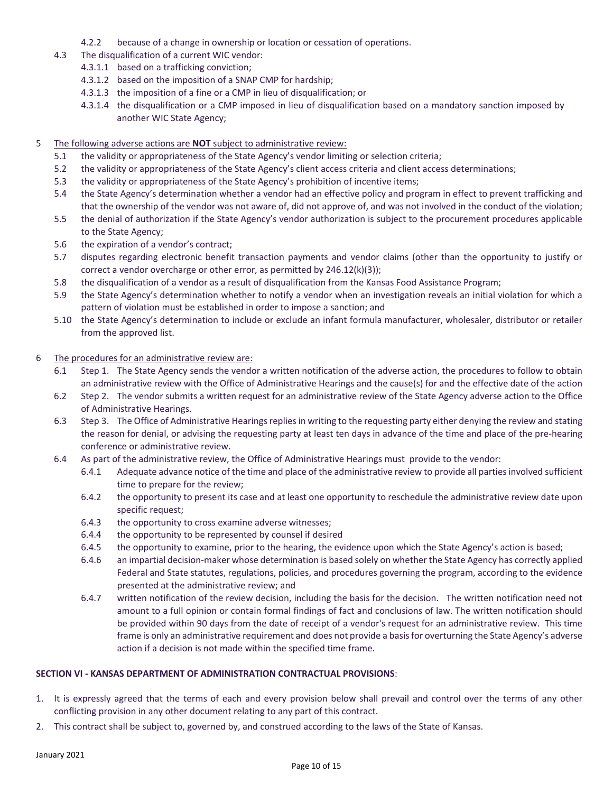- 4.2.2 because of a change in ownership or location or cessation of operations.
- 4.3 The disqualification of a current WIC vendor:
	- 4.3.1.1 based on a trafficking conviction;
	- 4.3.1.2 based on the imposition of a SNAP CMP for hardship;
	- 4.3.1.3 the imposition of a fine or a CMP in lieu of disqualification; or
	- 4.3.1.4 the disqualification or a CMP imposed in lieu of disqualification based on a mandatory sanction imposed by another WIC State Agency;
- 5 The following adverse actions are **NOT** subject to administrative review:
	- 5.1 the validity or appropriateness of the State Agency's vendor limiting or selection criteria;
	- 5.2 the validity or appropriateness of the State Agency's client access criteria and client access determinations;
	- 5.3 the validity or appropriateness of the State Agency's prohibition of incentive items;
	- 5.4 the State Agency's determination whether a vendor had an effective policy and program in effect to prevent trafficking and that the ownership of the vendor was not aware of, did not approve of, and was not involved in the conduct of the violation;
	- 5.5 the denial of authorization if the State Agency's vendor authorization is subject to the procurement procedures applicable to the State Agency;
	- 5.6 the expiration of a vendor's contract;
	- 5.7 disputes regarding electronic benefit transaction payments and vendor claims (other than the opportunity to justify or correct a vendor overcharge or other error, as permitted by 246.12(k)(3));
	- 5.8 the disqualification of a vendor as a result of disqualification from the Kansas Food Assistance Program;
	- 5.9 the State Agency's determination whether to notify a vendor when an investigation reveals an initial violation for which a pattern of violation must be established in order to impose a sanction; and
	- 5.10 the State Agency's determination to include or exclude an infant formula manufacturer, wholesaler, distributor or retailer from the approved list.
- 6 The procedures for an administrative review are:
	- 6.1 Step 1. The State Agency sends the vendor a written notification of the adverse action, the procedures to follow to obtain an administrative review with the Office of Administrative Hearings and the cause(s) for and the effective date of the action
	- 6.2 Step 2. The vendor submits a written request for an administrative review of the State Agency adverse action to the Office of Administrative Hearings.
	- 6.3 Step 3. The Office of Administrative Hearings replies in writing to the requesting party either denying the review and stating the reason for denial, or advising the requesting party at least ten days in advance of the time and place of the pre-hearing conference or administrative review.
	- 6.4 As part of the administrative review, the Office of Administrative Hearings must provide to the vendor:
		- 6.4.1 Adequate advance notice of the time and place of the administrative review to provide all parties involved sufficient time to prepare for the review;
		- 6.4.2 the opportunity to present its case and at least one opportunity to reschedule the administrative review date upon specific request;
		- 6.4.3 the opportunity to cross examine adverse witnesses;
		- 6.4.4 the opportunity to be represented by counsel if desired
		- 6.4.5 the opportunity to examine, prior to the hearing, the evidence upon which the State Agency's action is based;
		- 6.4.6 an impartial decision-maker whose determination is based solely on whether the State Agency has correctly applied Federal and State statutes, regulations, policies, and procedures governing the program, according to the evidence presented at the administrative review; and
		- 6.4.7 written notification of the review decision, including the basis for the decision. The written notification need not amount to a full opinion or contain formal findings of fact and conclusions of law. The written notification should be provided within 90 days from the date of receipt of a vendor's request for an administrative review. This time frame is only an administrative requirement and does not provide a basis for overturning the State Agency's adverse action if a decision is not made within the specified time frame.

### **SECTION VI - KANSAS DEPARTMENT OF ADMINISTRATION CONTRACTUAL PROVISIONS**:

- 1. It is expressly agreed that the terms of each and every provision below shall prevail and control over the terms of any other conflicting provision in any other document relating to any part of this contract.
- 2. This contract shall be subject to, governed by, and construed according to the laws of the State of Kansas.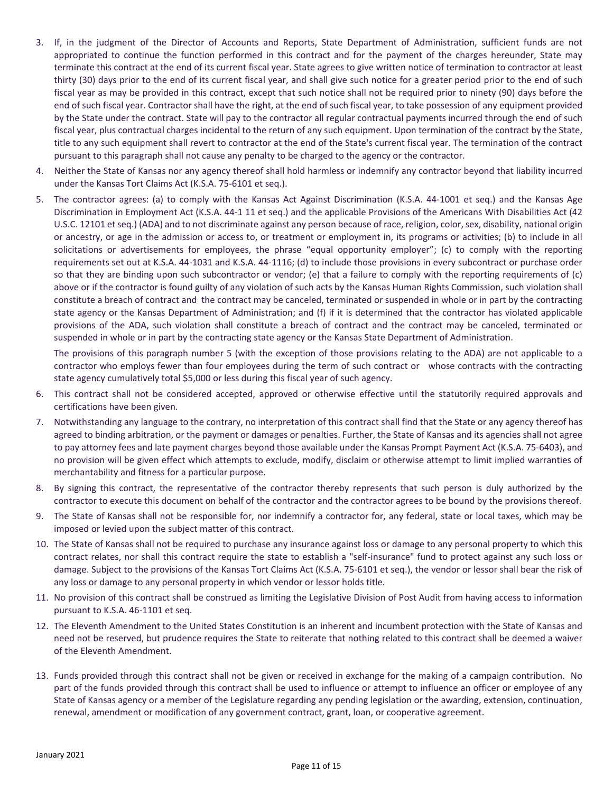- 3. If, in the judgment of the Director of Accounts and Reports, State Department of Administration, sufficient funds are not appropriated to continue the function performed in this contract and for the payment of the charges hereunder, State may terminate this contract at the end of its current fiscal year. State agrees to give written notice of termination to contractor at least thirty (30) days prior to the end of its current fiscal year, and shall give such notice for a greater period prior to the end of such fiscal year as may be provided in this contract, except that such notice shall not be required prior to ninety (90) days before the end of such fiscal year. Contractor shall have the right, at the end of such fiscal year, to take possession of any equipment provided by the State under the contract. State will pay to the contractor all regular contractual payments incurred through the end of such fiscal year, plus contractual charges incidental to the return of any such equipment. Upon termination of the contract by the State, title to any such equipment shall revert to contractor at the end of the State's current fiscal year. The termination of the contract pursuant to this paragraph shall not cause any penalty to be charged to the agency or the contractor.
- 4. Neither the State of Kansas nor any agency thereof shall hold harmless or indemnify any contractor beyond that liability incurred under the Kansas Tort Claims Act (K.S.A. 75-6101 et seq.).
- 5. The contractor agrees: (a) to comply with the Kansas Act Against Discrimination (K.S.A. 44-1001 et seq.) and the Kansas Age Discrimination in Employment Act (K.S.A. 44-1 11 et seq.) and the applicable Provisions of the Americans With Disabilities Act (42 U.S.C. 12101 et seq.) (ADA) and to not discriminate against any person because of race, religion, color, sex, disability, national origin or ancestry, or age in the admission or access to, or treatment or employment in, its programs or activities; (b) to include in all solicitations or advertisements for employees, the phrase "equal opportunity employer"; (c) to comply with the reporting requirements set out at K.S.A. 44-1031 and K.S.A. 44-1116; (d) to include those provisions in every subcontract or purchase order so that they are binding upon such subcontractor or vendor; (e) that a failure to comply with the reporting requirements of (c) above or if the contractor is found guilty of any violation of such acts by the Kansas Human Rights Commission, such violation shall constitute a breach of contract and the contract may be canceled, terminated or suspended in whole or in part by the contracting state agency or the Kansas Department of Administration; and (f) if it is determined that the contractor has violated applicable provisions of the ADA, such violation shall constitute a breach of contract and the contract may be canceled, terminated or suspended in whole or in part by the contracting state agency or the Kansas State Department of Administration.

The provisions of this paragraph number 5 (with the exception of those provisions relating to the ADA) are not applicable to a contractor who employs fewer than four employees during the term of such contract or whose contracts with the contracting state agency cumulatively total \$5,000 or less during this fiscal year of such agency.

- 6. This contract shall not be considered accepted, approved or otherwise effective until the statutorily required approvals and certifications have been given.
- 7. Notwithstanding any language to the contrary, no interpretation of this contract shall find that the State or any agency thereof has agreed to binding arbitration, or the payment or damages or penalties. Further, the State of Kansas and its agencies shall not agree to pay attorney fees and late payment charges beyond those available under the Kansas Prompt Payment Act (K.S.A. 75-6403), and no provision will be given effect which attempts to exclude, modify, disclaim or otherwise attempt to limit implied warranties of merchantability and fitness for a particular purpose.
- 8. By signing this contract, the representative of the contractor thereby represents that such person is duly authorized by the contractor to execute this document on behalf of the contractor and the contractor agrees to be bound by the provisions thereof.
- 9. The State of Kansas shall not be responsible for, nor indemnify a contractor for, any federal, state or local taxes, which may be imposed or levied upon the subject matter of this contract.
- 10. The State of Kansas shall not be required to purchase any insurance against loss or damage to any personal property to which this contract relates, nor shall this contract require the state to establish a "self-insurance" fund to protect against any such loss or damage. Subject to the provisions of the Kansas Tort Claims Act (K.S.A. 75-6101 et seq.), the vendor or lessor shall bear the risk of any loss or damage to any personal property in which vendor or lessor holds title.
- 11. No provision of this contract shall be construed as limiting the Legislative Division of Post Audit from having access to information pursuant to K.S.A. 46-1101 et seq.
- 12. The Eleventh Amendment to the United States Constitution is an inherent and incumbent protection with the State of Kansas and need not be reserved, but prudence requires the State to reiterate that nothing related to this contract shall be deemed a waiver of the Eleventh Amendment.
- 13. Funds provided through this contract shall not be given or received in exchange for the making of a campaign contribution. No part of the funds provided through this contract shall be used to influence or attempt to influence an officer or employee of any State of Kansas agency or a member of the Legislature regarding any pending legislation or the awarding, extension, continuation, renewal, amendment or modification of any government contract, grant, loan, or cooperative agreement.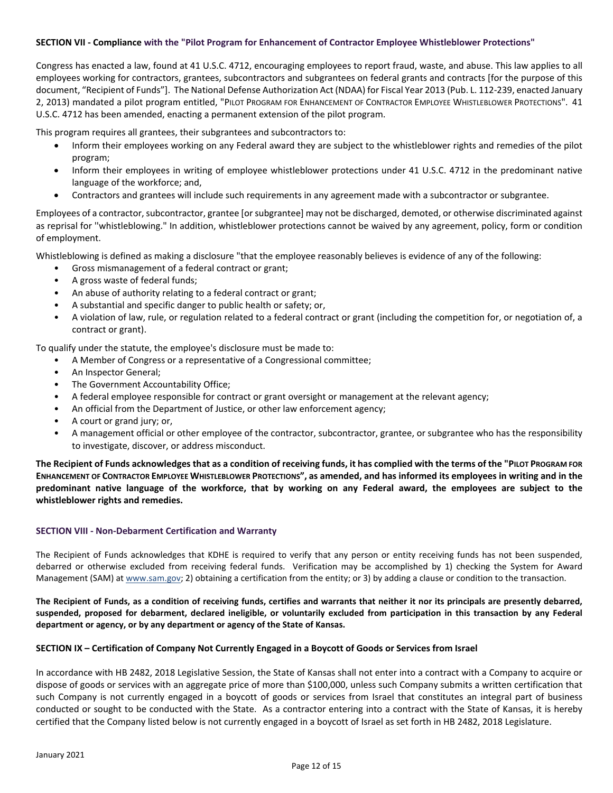### **SECTION VII - Compliance with the "Pilot Program for Enhancement of Contractor Employee Whistleblower Protections"**

Congress has enacted a law, found at 41 U.S.C. 4712, encouraging employees to report fraud, waste, and abuse. This law applies to all employees working for contractors, grantees, subcontractors and subgrantees on federal grants and contracts [for the purpose of this document, "Recipient of Funds"]. The National Defense Authorization Act (NDAA) for Fiscal Year 2013 (Pub. L. 112-239, enacted January 2, 2013) mandated a pilot program entitled, "PILOT PROGRAM FOR ENHANCEMENT OF CONTRACTOR EMPLOYEE WHISTLEBLOWER PROTECTIONS". 41 U.S.C. 4712 has been amended, enacting a permanent extension of the pilot program.

This program requires all grantees, their subgrantees and subcontractors to:

- Inform their employees working on any Federal award they are subject to the whistleblower rights and remedies of the pilot program;
- Inform their employees in writing of employee whistleblower protections under 41 U.S.C. 4712 in the predominant native language of the workforce; and,
- Contractors and grantees will include such requirements in any agreement made with a subcontractor or subgrantee.

Employees of a contractor, subcontractor, grantee [or subgrantee] may not be discharged, demoted, or otherwise discriminated against as reprisal for ''whistleblowing." In addition, whistleblower protections cannot be waived by any agreement, policy, form or condition of employment.

Whistleblowing is defined as making a disclosure "that the employee reasonably believes is evidence of any of the following:

- Gross mismanagement of a federal contract or grant;
- A gross waste of federal funds;
- An abuse of authority relating to a federal contract or grant;
- A substantial and specific danger to public health or safety; or,
- A violation of law, rule, or regulation related to a federal contract or grant (including the competition for, or negotiation of, a contract or grant).

To qualify under the statute, the employee's disclosure must be made to:

- A Member of Congress or a representative of a Congressional committee;
- An Inspector General;
- The Government Accountability Office;
- A federal employee responsible for contract or grant oversight or management at the relevant agency;
- An official from the Department of Justice, or other law enforcement agency;
- A court or grand jury; or,
- A management official or other employee of the contractor, subcontractor, grantee, or subgrantee who has the responsibility to investigate, discover, or address misconduct.

**The Recipient of Funds acknowledges that as a condition of receiving funds, it has complied with the terms of the "PILOT PROGRAM FOR ENHANCEMENT OF CONTRACTOR EMPLOYEE WHISTLEBLOWER PROTECTIONS", as amended, and has informed its employees in writing and in the predominant native language of the workforce, that by working on any Federal award, the employees are subject to the whistleblower rights and remedies.** 

### **SECTION VIII - Non-Debarment Certification and Warranty**

The Recipient of Funds acknowledges that KDHE is required to verify that any person or entity receiving funds has not been suspended, debarred or otherwise excluded from receiving federal funds. Verification may be accomplished by 1) checking the System for Award Management (SAM) at www.sam.gov; 2) obtaining a certification from the entity; or 3) by adding a clause or condition to the transaction.

**The Recipient of Funds, as a condition of receiving funds, certifies and warrants that neither it nor its principals are presently debarred, suspended, proposed for debarment, declared ineligible, or voluntarily excluded from participation in this transaction by any Federal department or agency, or by any department or agency of the State of Kansas.**

### **SECTION IX – Certification of Company Not Currently Engaged in a Boycott of Goods or Services from Israel**

In accordance with HB 2482, 2018 Legislative Session, the State of Kansas shall not enter into a contract with a Company to acquire or dispose of goods or services with an aggregate price of more than \$100,000, unless such Company submits a written certification that such Company is not currently engaged in a boycott of goods or services from Israel that constitutes an integral part of business conducted or sought to be conducted with the State. As a contractor entering into a contract with the State of Kansas, it is hereby certified that the Company listed below is not currently engaged in a boycott of Israel as set forth in HB 2482, 2018 Legislature.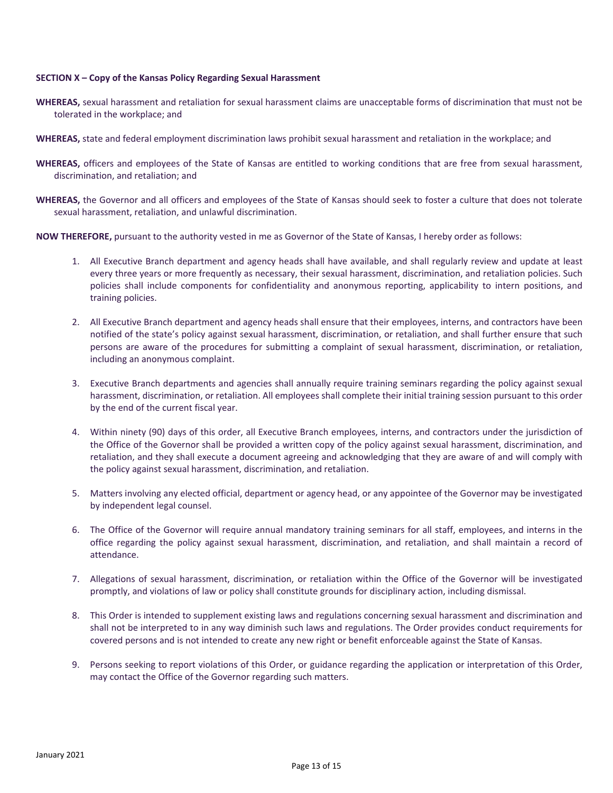### **SECTION X – Copy of the Kansas Policy Regarding Sexual Harassment**

- **WHEREAS,** sexual harassment and retaliation for sexual harassment claims are unacceptable forms of discrimination that must not be tolerated in the workplace; and
- **WHEREAS,** state and federal employment discrimination laws prohibit sexual harassment and retaliation in the workplace; and
- **WHEREAS,** officers and employees of the State of Kansas are entitled to working conditions that are free from sexual harassment, discrimination, and retaliation; and
- **WHEREAS,** the Governor and all officers and employees of the State of Kansas should seek to foster a culture that does not tolerate sexual harassment, retaliation, and unlawful discrimination.
- **NOW THEREFORE,** pursuant to the authority vested in me as Governor of the State of Kansas, I hereby order as follows:
	- 1. All Executive Branch department and agency heads shall have available, and shall regularly review and update at least every three years or more frequently as necessary, their sexual harassment, discrimination, and retaliation policies. Such policies shall include components for confidentiality and anonymous reporting, applicability to intern positions, and training policies.
	- 2. All Executive Branch department and agency heads shall ensure that their employees, interns, and contractors have been notified of the state's policy against sexual harassment, discrimination, or retaliation, and shall further ensure that such persons are aware of the procedures for submitting a complaint of sexual harassment, discrimination, or retaliation, including an anonymous complaint.
	- 3. Executive Branch departments and agencies shall annually require training seminars regarding the policy against sexual harassment, discrimination, or retaliation. All employees shall complete their initial training session pursuant to this order by the end of the current fiscal year.
	- 4. Within ninety (90) days of this order, all Executive Branch employees, interns, and contractors under the jurisdiction of the Office of the Governor shall be provided a written copy of the policy against sexual harassment, discrimination, and retaliation, and they shall execute a document agreeing and acknowledging that they are aware of and will comply with the policy against sexual harassment, discrimination, and retaliation.
	- 5. Matters involving any elected official, department or agency head, or any appointee of the Governor may be investigated by independent legal counsel.
	- 6. The Office of the Governor will require annual mandatory training seminars for all staff, employees, and interns in the office regarding the policy against sexual harassment, discrimination, and retaliation, and shall maintain a record of attendance.
	- 7. Allegations of sexual harassment, discrimination, or retaliation within the Office of the Governor will be investigated promptly, and violations of law or policy shall constitute grounds for disciplinary action, including dismissal.
	- 8. This Order is intended to supplement existing laws and regulations concerning sexual harassment and discrimination and shall not be interpreted to in any way diminish such laws and regulations. The Order provides conduct requirements for covered persons and is not intended to create any new right or benefit enforceable against the State of Kansas.
	- 9. Persons seeking to report violations of this Order, or guidance regarding the application or interpretation of this Order, may contact the Office of the Governor regarding such matters.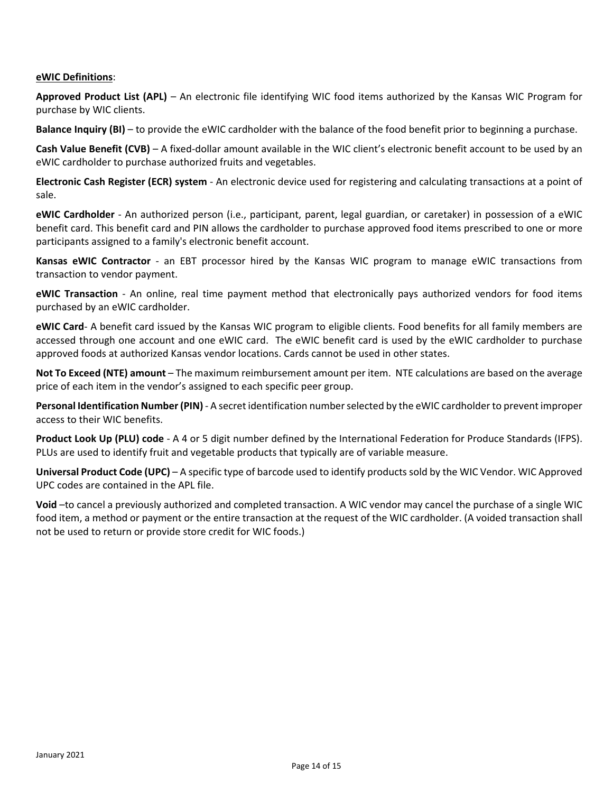# **eWIC Definitions**:

**Approved Product List (APL)** – An electronic file identifying WIC food items authorized by the Kansas WIC Program for purchase by WIC clients.

**Balance Inquiry (BI)** – to provide the eWIC cardholder with the balance of the food benefit prior to beginning a purchase.

**Cash Value Benefit (CVB)** – A fixed-dollar amount available in the WIC client's electronic benefit account to be used by an eWIC cardholder to purchase authorized fruits and vegetables.

**Electronic Cash Register (ECR) system** - An electronic device used for registering and calculating transactions at a point of sale.

**eWIC Cardholder** - An authorized person (i.e., participant, parent, legal guardian, or caretaker) in possession of a eWIC benefit card. This benefit card and PIN allows the cardholder to purchase approved food items prescribed to one or more participants assigned to a family's electronic benefit account.

**Kansas eWIC Contractor** - an EBT processor hired by the Kansas WIC program to manage eWIC transactions from transaction to vendor payment.

**eWIC Transaction** - An online, real time payment method that electronically pays authorized vendors for food items purchased by an eWIC cardholder.

**eWIC Card**- A benefit card issued by the Kansas WIC program to eligible clients. Food benefits for all family members are accessed through one account and one eWIC card. The eWIC benefit card is used by the eWIC cardholder to purchase approved foods at authorized Kansas vendor locations. Cards cannot be used in other states.

**Not To Exceed (NTE) amount** – The maximum reimbursement amount per item. NTE calculations are based on the average price of each item in the vendor's assigned to each specific peer group.

**Personal Identification Number (PIN)** - A secret identification number selected by the eWIC cardholder to prevent improper access to their WIC benefits.

**Product Look Up (PLU) code** - A 4 or 5 digit number defined by the International Federation for Produce Standards (IFPS). PLUs are used to identify fruit and vegetable products that typically are of variable measure.

**Universal Product Code (UPC)** – A specific type of barcode used to identify products sold by the WIC Vendor. WIC Approved UPC codes are contained in the APL file.

**Void** –to cancel a previously authorized and completed transaction. A WIC vendor may cancel the purchase of a single WIC food item, a method or payment or the entire transaction at the request of the WIC cardholder. (A voided transaction shall not be used to return or provide store credit for WIC foods.)